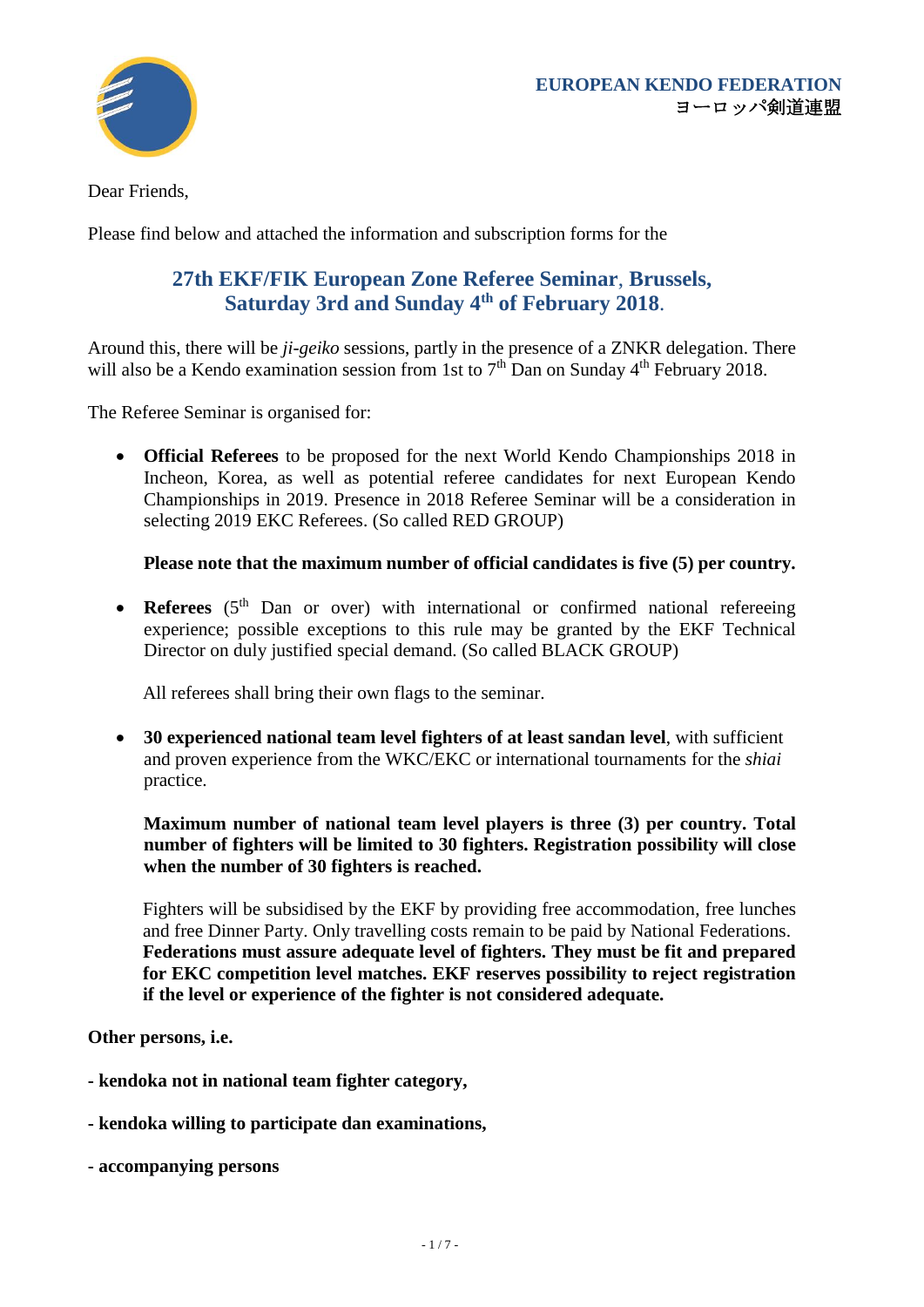

Dear Friends,

Please find below and attached the information and subscription forms for the

### **27th EKF/FIK European Zone Referee Seminar**, **Brussels, Saturday 3rd and Sunday 4 th of February 2018**.

Around this, there will be *ji-geiko* sessions, partly in the presence of a ZNKR delegation. There will also be a Kendo examination session from 1st to  $7<sup>th</sup>$  Dan on Sunday 4<sup>th</sup> February 2018.

The Referee Seminar is organised for:

• **Official Referees** to be proposed for the next World Kendo Championships 2018 in Incheon, Korea, as well as potential referee candidates for next European Kendo Championships in 2019. Presence in 2018 Referee Seminar will be a consideration in selecting 2019 EKC Referees. (So called RED GROUP)

**Please note that the maximum number of official candidates is five (5) per country.**

• **Referees** (5<sup>th</sup> Dan or over) with international or confirmed national refereeing experience; possible exceptions to this rule may be granted by the EKF Technical Director on duly justified special demand. (So called BLACK GROUP)

All referees shall bring their own flags to the seminar.

• **30 experienced national team level fighters of at least sandan level**, with sufficient and proven experience from the WKC/EKC or international tournaments for the *shiai* practice.

**Maximum number of national team level players is three (3) per country. Total number of fighters will be limited to 30 fighters. Registration possibility will close when the number of 30 fighters is reached.**

Fighters will be subsidised by the EKF by providing free accommodation, free lunches and free Dinner Party. Only travelling costs remain to be paid by National Federations. **Federations must assure adequate level of fighters. They must be fit and prepared for EKC competition level matches. EKF reserves possibility to reject registration if the level or experience of the fighter is not considered adequate.**

**Other persons, i.e.**

- **- kendoka not in national team fighter category,**
- **- kendoka willing to participate dan examinations,**
- **- accompanying persons**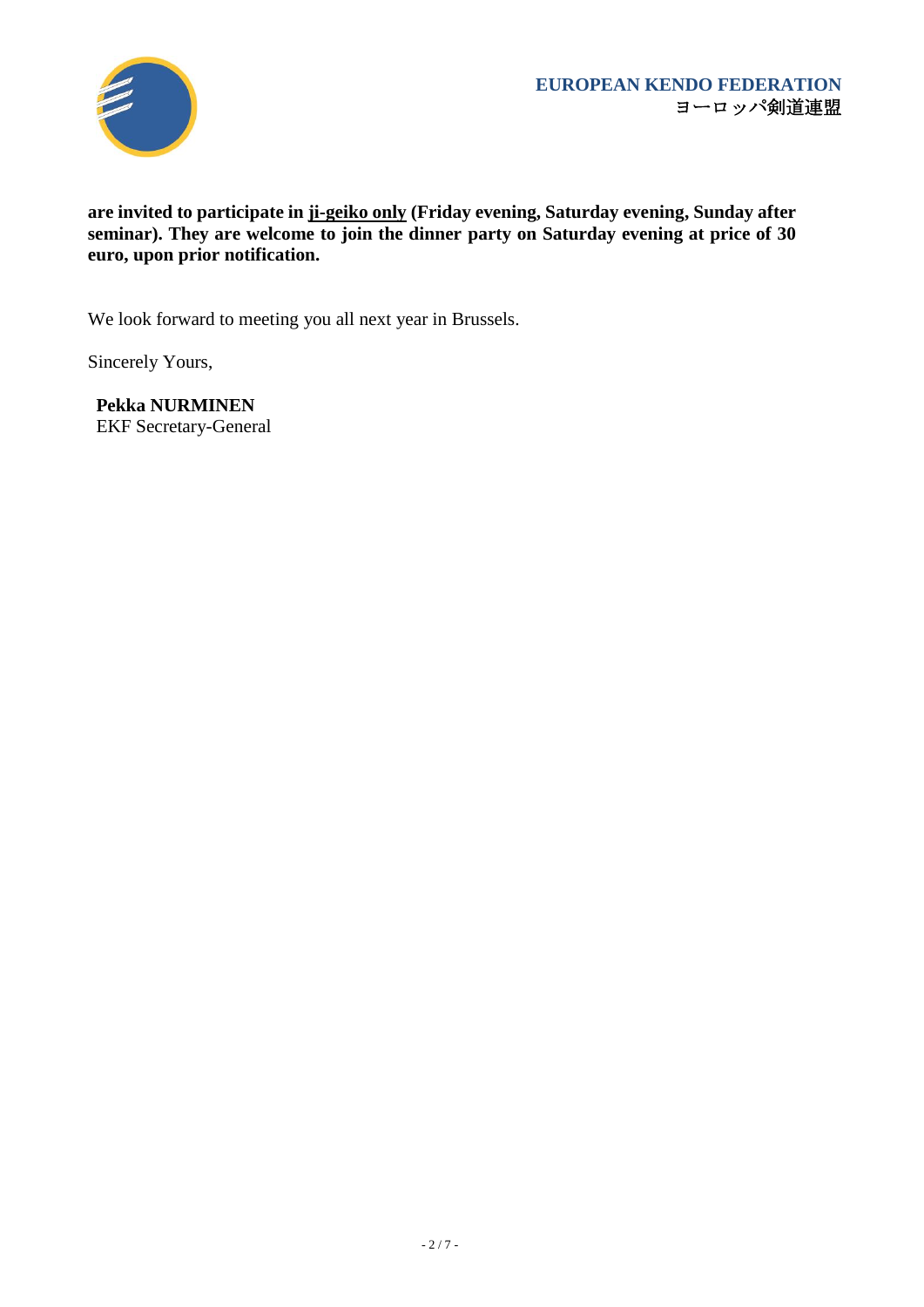

#### **are invited to participate in ji-geiko only (Friday evening, Saturday evening, Sunday after seminar). They are welcome to join the dinner party on Saturday evening at price of 30 euro, upon prior notification.**

We look forward to meeting you all next year in Brussels.

Sincerely Yours,

**Pekka NURMINEN** EKF Secretary-General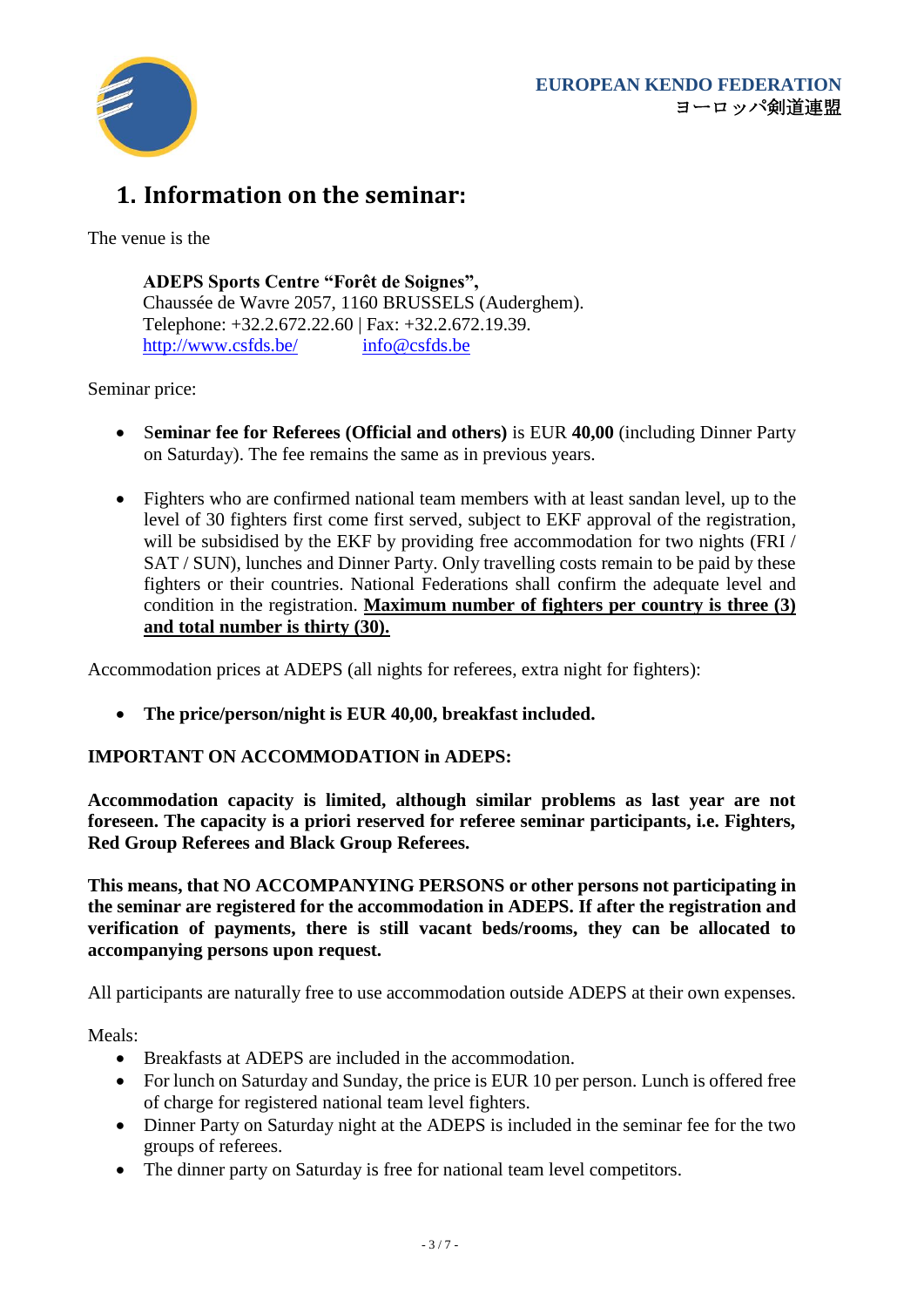

# **1. Information on the seminar:**

The venue is the

**ADEPS Sports Centre "Forêt de Soignes",**  Chaussée de Wavre 2057, 1160 BRUSSELS (Auderghem). Telephone: +32.2.672.22.60 | Fax: +32.2.672.19.39. <http://www.csfds.be/> [info@csfds.be](mailto:info@csfds.be)

Seminar price:

- S**eminar fee for Referees (Official and others)** is EUR **40,00** (including Dinner Party on Saturday). The fee remains the same as in previous years.
- Fighters who are confirmed national team members with at least sandan level, up to the level of 30 fighters first come first served, subject to EKF approval of the registration, will be subsidised by the EKF by providing free accommodation for two nights (FRI) SAT / SUN), lunches and Dinner Party. Only travelling costs remain to be paid by these fighters or their countries. National Federations shall confirm the adequate level and condition in the registration. **Maximum number of fighters per country is three (3) and total number is thirty (30).**

Accommodation prices at ADEPS (all nights for referees, extra night for fighters):

• **The price/person/night is EUR 40,00, breakfast included.**

#### **IMPORTANT ON ACCOMMODATION in ADEPS:**

**Accommodation capacity is limited, although similar problems as last year are not foreseen. The capacity is a priori reserved for referee seminar participants, i.e. Fighters, Red Group Referees and Black Group Referees.** 

**This means, that NO ACCOMPANYING PERSONS or other persons not participating in the seminar are registered for the accommodation in ADEPS. If after the registration and verification of payments, there is still vacant beds/rooms, they can be allocated to accompanying persons upon request.**

All participants are naturally free to use accommodation outside ADEPS at their own expenses.

Meals:

- Breakfasts at ADEPS are included in the accommodation.
- For lunch on Saturday and Sunday, the price is EUR 10 per person. Lunch is offered free of charge for registered national team level fighters.
- Dinner Party on Saturday night at the ADEPS is included in the seminar fee for the two groups of referees.
- The dinner party on Saturday is free for national team level competitors.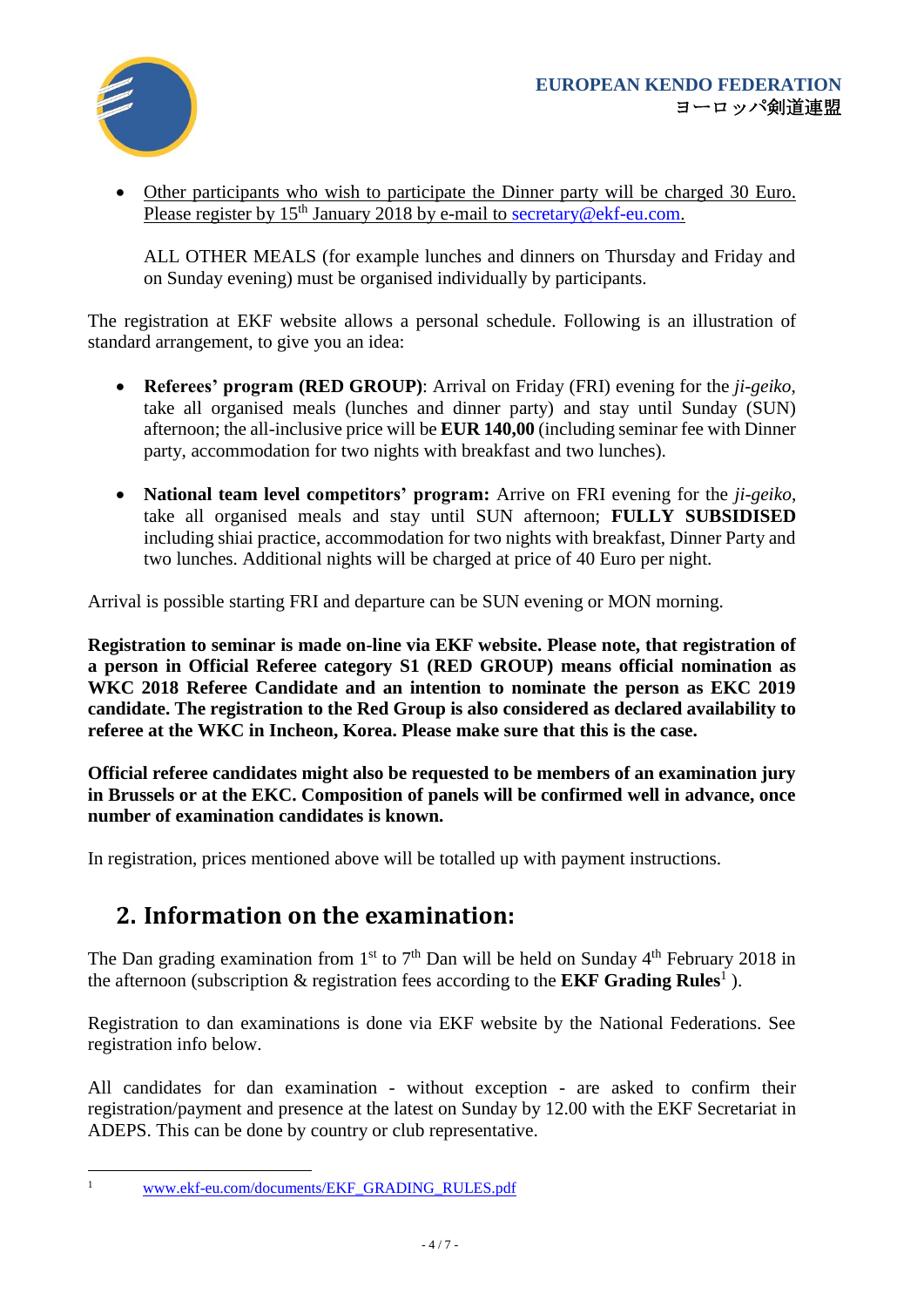

• Other participants who wish to participate the Dinner party will be charged 30 Euro. Please register by  $15<sup>th</sup>$  January 2018 by e-mail to [secretary@ekf-eu.com.](mailto:secretary@ekf-eu.com)

ALL OTHER MEALS (for example lunches and dinners on Thursday and Friday and on Sunday evening) must be organised individually by participants.

The registration at EKF website allows a personal schedule. Following is an illustration of standard arrangement, to give you an idea:

- **Referees' program (RED GROUP)**: Arrival on Friday (FRI) evening for the *ji-geiko*, take all organised meals (lunches and dinner party) and stay until Sunday (SUN) afternoon; the all-inclusive price will be **EUR 140,00** (including seminar fee with Dinner party, accommodation for two nights with breakfast and two lunches).
- **National team level competitors' program:** Arrive on FRI evening for the *ji-geiko*, take all organised meals and stay until SUN afternoon; **FULLY SUBSIDISED** including shiai practice, accommodation for two nights with breakfast, Dinner Party and two lunches. Additional nights will be charged at price of 40 Euro per night.

Arrival is possible starting FRI and departure can be SUN evening or MON morning.

**Registration to seminar is made on-line via EKF website. Please note, that registration of a person in Official Referee category S1 (RED GROUP) means official nomination as WKC 2018 Referee Candidate and an intention to nominate the person as EKC 2019 candidate. The registration to the Red Group is also considered as declared availability to referee at the WKC in Incheon, Korea. Please make sure that this is the case.**

**Official referee candidates might also be requested to be members of an examination jury in Brussels or at the EKC. Composition of panels will be confirmed well in advance, once number of examination candidates is known.**

In registration, prices mentioned above will be totalled up with payment instructions.

### **2. Information on the examination:**

The Dan grading examination from  $1<sup>st</sup>$  to  $7<sup>th</sup>$  Dan will be held on Sunday  $4<sup>th</sup>$  February 2018 in the afternoon (subscription & registration fees according to the **EKF Grading Rules**<sup>1</sup>).

Registration to dan examinations is done via EKF website by the National Federations. See registration info below.

All candidates for dan examination - without exception - are asked to confirm their registration/payment and presence at the latest on Sunday by 12.00 with the EKF Secretariat in ADEPS. This can be done by country or club representative.

 $\bar{1}$ 

<sup>1</sup> [www.ekf-eu.com/documents/EKF\\_GRADING\\_RULES.pdf](http://www.ekf-eu.com/documents/EKF_GRADING_RULES.pdf)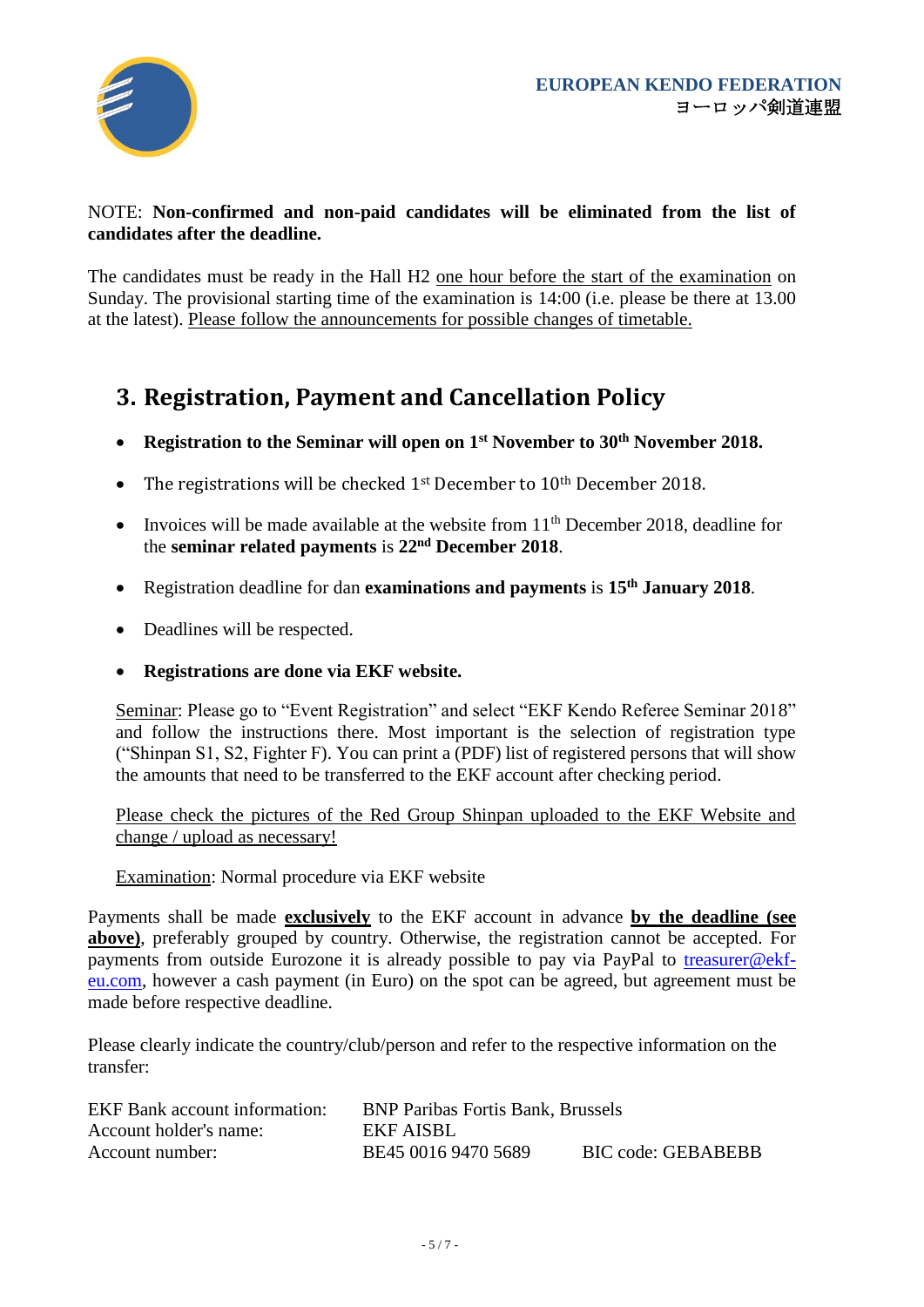

#### NOTE: **Non-confirmed and non-paid candidates will be eliminated from the list of candidates after the deadline.**

The candidates must be ready in the Hall H2 one hour before the start of the examination on Sunday. The provisional starting time of the examination is 14:00 (i.e. please be there at 13.00 at the latest). Please follow the announcements for possible changes of timetable.

## **3. Registration, Payment and Cancellation Policy**

- **Registration to the Seminar will open on 1st November to 30th November 2018.**
- The registrations will be checked 1<sup>st</sup> December to 10<sup>th</sup> December 2018.
- Invoices will be made available at the website from  $11<sup>th</sup>$  December 2018, deadline for the **seminar related payments** is **22nd December 2018**.
- Registration deadline for dan **examinations and payments** is **15th January 2018**.
- Deadlines will be respected.
- **Registrations are done via EKF website.**

Seminar: Please go to "Event Registration" and select "EKF Kendo Referee Seminar 2018" and follow the instructions there. Most important is the selection of registration type ("Shinpan S1, S2, Fighter F). You can print a (PDF) list of registered persons that will show the amounts that need to be transferred to the EKF account after checking period.

Please check the pictures of the Red Group Shinpan uploaded to the EKF Website and change / upload as necessary!

Examination: Normal procedure via EKF website

Payments shall be made **exclusively** to the EKF account in advance **by the deadline (see above)**, preferably grouped by country. Otherwise, the registration cannot be accepted. For payments from outside Eurozone it is already possible to pay via PayPal to [treasurer@ekf](mailto:treasurer@ekf-eu.com)[eu.com,](mailto:treasurer@ekf-eu.com) however a cash payment (in Euro) on the spot can be agreed, but agreement must be made before respective deadline.

Please clearly indicate the country/club/person and refer to the respective information on the transfer:

| <b>EKF</b> Bank account information: | <b>BNP Paribas Fortis Bank, Brussels</b> |                    |
|--------------------------------------|------------------------------------------|--------------------|
| Account holder's name:               | EKF AISBL                                |                    |
| Account number:                      | BE45 0016 9470 5689                      | BIC code: GEBABEBB |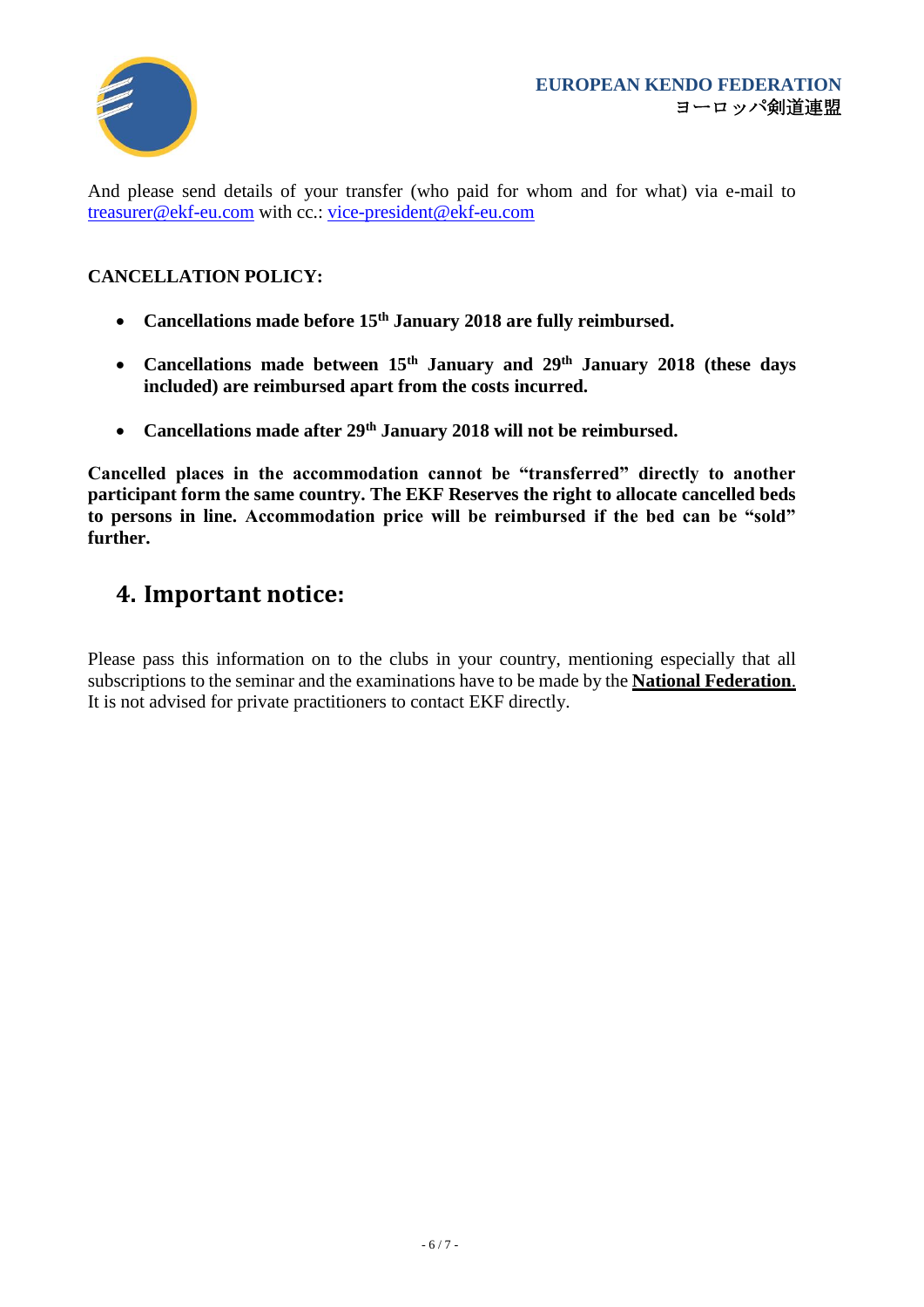

And please send details of your transfer (who paid for whom and for what) via e-mail to [treasurer@ekf-eu.com](mailto:treasurer@ekf-eu.com) with cc.: [vice-president@ekf-eu.com](mailto:vice-president@ekf-eu.com)

#### **CANCELLATION POLICY:**

- **Cancellations made before 15th January 2018 are fully reimbursed.**
- **Cancellations made between 15th January and 29th January 2018 (these days included) are reimbursed apart from the costs incurred.**
- **Cancellations made after 29th January 2018 will not be reimbursed.**

**Cancelled places in the accommodation cannot be "transferred" directly to another participant form the same country. The EKF Reserves the right to allocate cancelled beds to persons in line. Accommodation price will be reimbursed if the bed can be "sold" further.**

### **4. Important notice:**

Please pass this information on to the clubs in your country, mentioning especially that all subscriptions to the seminar and the examinations have to be made by the **National Federation**. It is not advised for private practitioners to contact EKF directly.